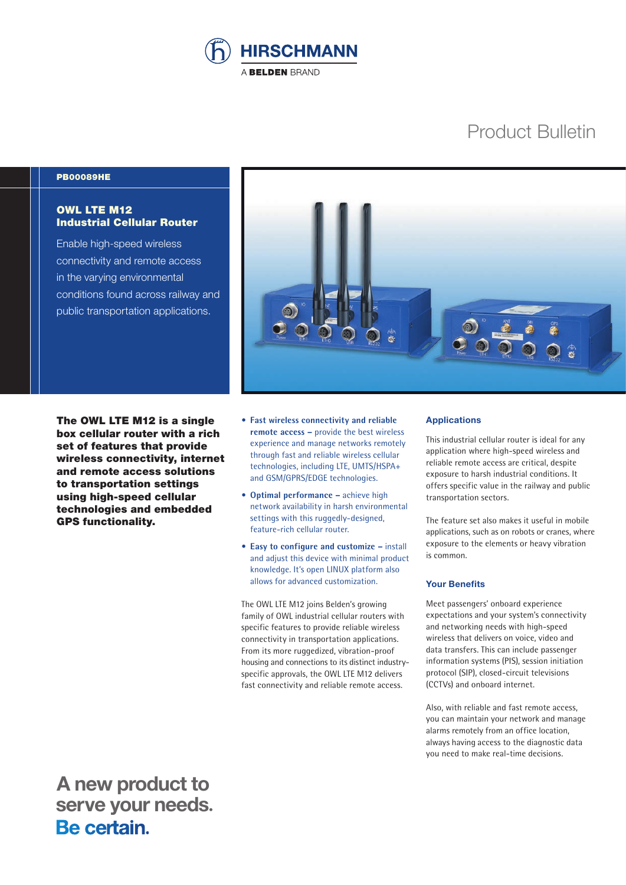

# Product Bulletin

#### PB00089HE

## OWL LTE M12 Industrial Cellular Router

Enable high-speed wireless connectivity and remote access in the varying environmental conditions found across railway and public transportation applications.



The OWL LTE M12 is a single box cellular router with a rich set of features that provide wireless connectivity, internet and remote access solutions to transportation settings using high-speed cellular technologies and embedded GPS functionality.

- **Fast wireless connectivity and reliable remote access –** provide the best wireless experience and manage networks remotely through fast and reliable wireless cellular technologies, including LTE, UMTS/HSPA+ and GSM/GPRS/EDGE technologies.
- **Optimal performance –** achieve high network availability in harsh environmental settings with this ruggedly-designed, feature-rich cellular router.
- **Easy to configure and customize –** install and adjust this device with minimal product knowledge. It's open LINUX platform also allows for advanced customization.

The OWL LTE M12 joins Belden's growing family of OWL industrial cellular routers with specific features to provide reliable wireless connectivity in transportation applications. From its more ruggedized, vibration-proof housing and connections to its distinct industryspecific approvals, the OWL LTE M12 delivers fast connectivity and reliable remote access.

#### **Applications**

This industrial cellular router is ideal for any application where high-speed wireless and reliable remote access are critical, despite exposure to harsh industrial conditions. It offers specific value in the railway and public transportation sectors.

The feature set also makes it useful in mobile applications, such as on robots or cranes, where exposure to the elements or heavy vibration is common.

#### **Your Benefits**

Meet passengers' onboard experience expectations and your system's connectivity and networking needs with high-speed wireless that delivers on voice, video and data transfers. This can include passenger information systems (PIS), session initiation protocol (SIP), closed-circuit televisions (CCTVs) and onboard internet.

Also, with reliable and fast remote access, you can maintain your network and manage alarms remotely from an office location, always having access to the diagnostic data you need to make real-time decisions.

 **A new product to serve your needs.**<br>**Be certain**.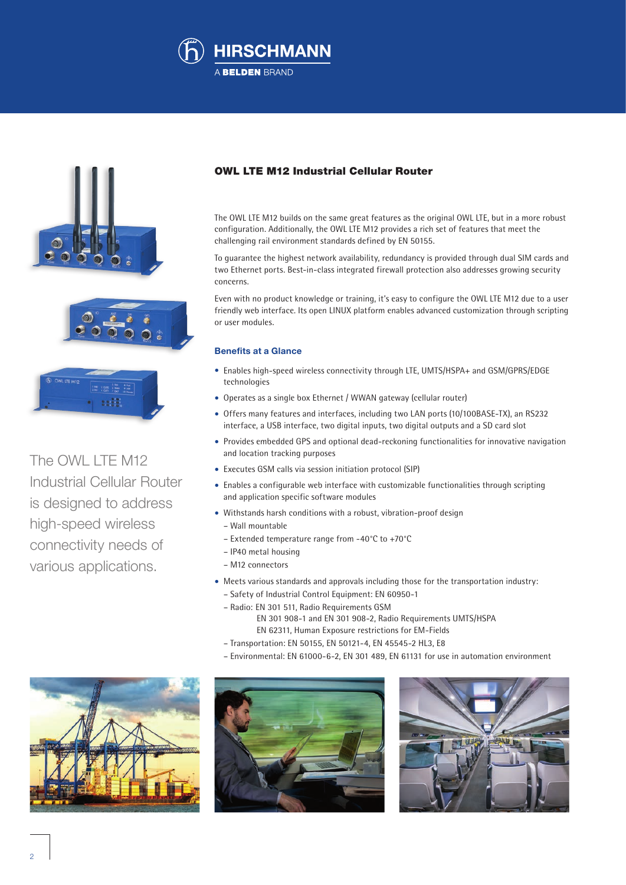



The OWL LTE M12 Industrial Cellular Router is designed to address high-speed wireless connectivity needs of various applications.

## OWL LTE M12 Industrial Cellular Router

The OWL LTE M12 builds on the same great features as the original OWL LTE, but in a more robust configuration. Additionally, the OWL LTE M12 provides a rich set of features that meet the challenging rail environment standards defined by EN 50155.

To guarantee the highest network availability, redundancy is provided through dual SIM cards and two Ethernet ports. Best-in-class integrated firewall protection also addresses growing security concerns.

Even with no product knowledge or training, it's easy to configure the OWL LTE M12 due to a user friendly web interface. Its open LINUX platform enables advanced customization through scripting or user modules.

### **Benefits at a Glance**

- Enables high-speed wireless connectivity through LTE, UMTS/HSPA+ and GSM/GPRS/EDGE technologies
- Operates as a single box Ethernet / WWAN gateway (cellular router)
- Offers many features and interfaces, including two LAN ports (10/100BASE-TX), an RS232 interface, a USB interface, two digital inputs, two digital outputs and a SD card slot
- Provides embedded GPS and optional dead-reckoning functionalities for innovative navigation and location tracking purposes
- Executes GSM calls via session initiation protocol (SIP)
- Enables a configurable web interface with customizable functionalities through scripting and application specific software modules
- Withstands harsh conditions with a robust, vibration-proof design
	- Wall mountable
	- Extended temperature range from -40°C to +70°C
	- IP40 metal housing
	- M12 connectors
- Meets various standards and approvals including those for the transportation industry:
- Safety of Industrial Control Equipment: EN 60950-1
	- Radio: EN 301 511, Radio Requirements GSM EN 301 908-1 and EN 301 908-2, Radio Requirements UMTS/HSPA EN 62311, Human Exposure restrictions for EM-Fields
	- Transportation: EN 50155, EN 50121-4, EN 45545-2 HL3, E8
- Environmental: EN 61000-6-2, EN 301 489, EN 61131 for use in automation environment





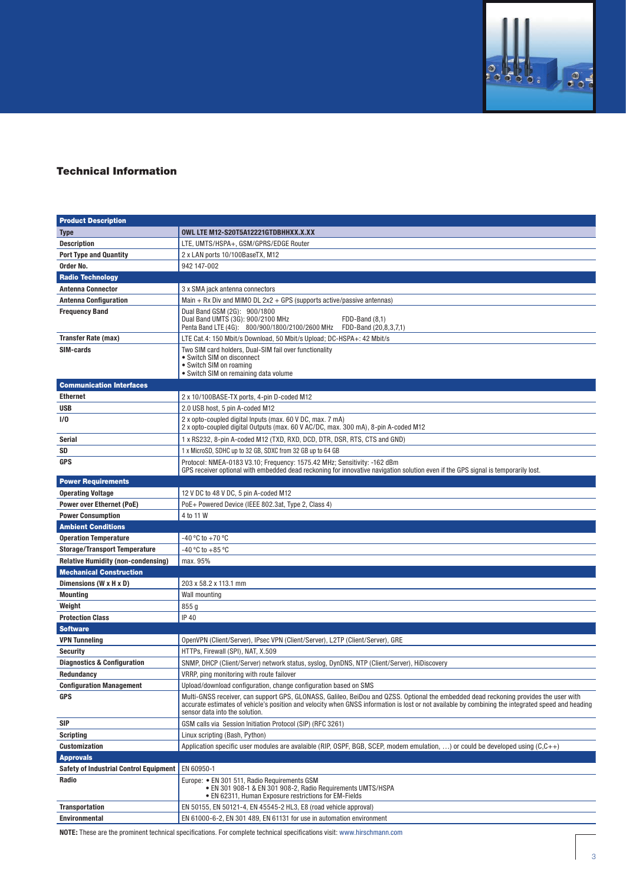

# Technical Information

| <b>Product Description</b>                    |                                                                                                                                                                                                                                                                                                                              |
|-----------------------------------------------|------------------------------------------------------------------------------------------------------------------------------------------------------------------------------------------------------------------------------------------------------------------------------------------------------------------------------|
| <b>Type</b>                                   | OWL LTE M12-S20T5A12221GTDBHHXX.X.XX                                                                                                                                                                                                                                                                                         |
| <b>Description</b>                            | LTE, UMTS/HSPA+, GSM/GPRS/EDGE Router                                                                                                                                                                                                                                                                                        |
| <b>Port Type and Quantity</b>                 | 2 x LAN ports 10/100BaseTX, M12                                                                                                                                                                                                                                                                                              |
| Order No.                                     | 942 147-002                                                                                                                                                                                                                                                                                                                  |
| <b>Radio Technology</b>                       |                                                                                                                                                                                                                                                                                                                              |
| <b>Antenna Connector</b>                      | 3 x SMA jack antenna connectors                                                                                                                                                                                                                                                                                              |
| <b>Antenna Configuration</b>                  | Main + Rx Div and MIMO DL $2x2 + GPS$ (supports active/passive antennas)                                                                                                                                                                                                                                                     |
| <b>Frequency Band</b>                         | Dual Band GSM (2G): 900/1800                                                                                                                                                                                                                                                                                                 |
|                                               | Dual Band UMTS (3G): 900/2100 MHz<br>FDD-Band (8,1)<br>Penta Band LTE (4G): 800/900/1800/2100/2600 MHz FDD-Band (20,8,3,7,1)                                                                                                                                                                                                 |
| <b>Transfer Rate (max)</b>                    | LTE Cat.4: 150 Mbit/s Download, 50 Mbit/s Upload; DC-HSPA+: 42 Mbit/s                                                                                                                                                                                                                                                        |
| SIM-cards                                     | Two SIM card holders, Dual-SIM fail over functionality<br>• Switch SIM on disconnect<br>• Switch SIM on roaming<br>• Switch SIM on remaining data volume                                                                                                                                                                     |
| <b>Communication Interfaces</b>               |                                                                                                                                                                                                                                                                                                                              |
| <b>Ethernet</b>                               | 2 x 10/100BASE-TX ports, 4-pin D-coded M12                                                                                                                                                                                                                                                                                   |
| <b>USB</b>                                    | 2.0 USB host, 5 pin A-coded M12                                                                                                                                                                                                                                                                                              |
| <b>I/O</b>                                    | 2 x opto-coupled digital Inputs (max. 60 V DC, max. 7 mA)<br>2 x opto-coupled digital Outputs (max. 60 V AC/DC, max. 300 mA), 8-pin A-coded M12                                                                                                                                                                              |
| Serial                                        | 1 x RS232, 8-pin A-coded M12 (TXD, RXD, DCD, DTR, DSR, RTS, CTS and GND)                                                                                                                                                                                                                                                     |
| SD                                            | 1 x MicroSD, SDHC up to 32 GB, SDXC from 32 GB up to 64 GB                                                                                                                                                                                                                                                                   |
| <b>GPS</b>                                    | Protocol: NMEA-0183 V3.10; Frequency: 1575.42 MHz; Sensitivity: -162 dBm<br>GPS receiver optional with embedded dead reckoning for innovative navigation solution even if the GPS signal is temporarily lost.                                                                                                                |
| <b>Power Requirements</b>                     |                                                                                                                                                                                                                                                                                                                              |
| <b>Operating Voltage</b>                      | 12 V DC to 48 V DC, 5 pin A-coded M12                                                                                                                                                                                                                                                                                        |
| <b>Power over Ethernet (PoE)</b>              | PoE+ Powered Device (IEEE 802.3at, Type 2, Class 4)                                                                                                                                                                                                                                                                          |
| <b>Power Consumption</b>                      | 4 to 11 W                                                                                                                                                                                                                                                                                                                    |
| <b>Ambient Conditions</b>                     |                                                                                                                                                                                                                                                                                                                              |
| <b>Operation Temperature</b>                  | -40 °C to +70 °C                                                                                                                                                                                                                                                                                                             |
| <b>Storage/Transport Temperature</b>          | -40 °C to +85 °C                                                                                                                                                                                                                                                                                                             |
| <b>Relative Humidity (non-condensing)</b>     | max. 95%                                                                                                                                                                                                                                                                                                                     |
| <b>Mechanical Construction</b>                |                                                                                                                                                                                                                                                                                                                              |
| Dimensions (W x H x D)                        | 203 x 58.2 x 113.1 mm                                                                                                                                                                                                                                                                                                        |
| <b>Mounting</b>                               | Wall mounting                                                                                                                                                                                                                                                                                                                |
| Weight                                        | 855 g                                                                                                                                                                                                                                                                                                                        |
| <b>Protection Class</b>                       | <b>IP 40</b>                                                                                                                                                                                                                                                                                                                 |
| <b>Software</b>                               |                                                                                                                                                                                                                                                                                                                              |
| <b>VPN Tunneling</b>                          | OpenVPN (Client/Server), IPsec VPN (Client/Server), L2TP (Client/Server), GRE                                                                                                                                                                                                                                                |
| <b>Security</b>                               | HTTPs, Firewall (SPI), NAT, X.509                                                                                                                                                                                                                                                                                            |
| <b>Diagnostics &amp; Configuration</b>        | SNMP, DHCP (Client/Server) network status, syslog, DynDNS, NTP (Client/Server), HiDiscovery                                                                                                                                                                                                                                  |
| Redundancy                                    | VRRP, ping monitoring with route failover                                                                                                                                                                                                                                                                                    |
| <b>Configuration Management</b>               | Upload/download configuration, change configuration based on SMS                                                                                                                                                                                                                                                             |
| <b>GPS</b>                                    | Multi-GNSS receiver, can support GPS, GLONASS, Galileo, BeiDou and QZSS. Optional the embedded dead reckoning provides the user with<br>accurate estimates of vehicle's position and velocity when GNSS information is lost or not available by combining the integrated speed and heading<br>sensor data into the solution. |
| <b>SIP</b>                                    | GSM calls via Session Initiation Protocol (SIP) (RFC 3261)                                                                                                                                                                                                                                                                   |
| <b>Scripting</b>                              | Linux scripting (Bash, Python)                                                                                                                                                                                                                                                                                               |
| <b>Customization</b>                          | Application specific user modules are avalaible (RIP, OSPF, BGB, SCEP, modem emulation, ) or could be developed using $(C,C++)$                                                                                                                                                                                              |
| <b>Approvals</b>                              |                                                                                                                                                                                                                                                                                                                              |
| <b>Safety of Industrial Control Equipment</b> | EN 60950-1                                                                                                                                                                                                                                                                                                                   |
| Radio                                         | Europe: • EN 301 511, Radio Requirements GSM<br>• EN 301 908-1 & EN 301 908-2, Radio Requirements UMTS/HSPA<br>• EN 62311, Human Exposure restrictions for EM-Fields                                                                                                                                                         |
| <b>Transportation</b>                         | EN 50155, EN 50121-4, EN 45545-2 HL3, E8 (road vehicle approval)                                                                                                                                                                                                                                                             |
| <b>Environmental</b>                          | EN 61000-6-2, EN 301 489, EN 61131 for use in automation environment                                                                                                                                                                                                                                                         |

**NOTE:** These are the prominent technical specifications. For complete technical specifications visit: www.hirschmann.com